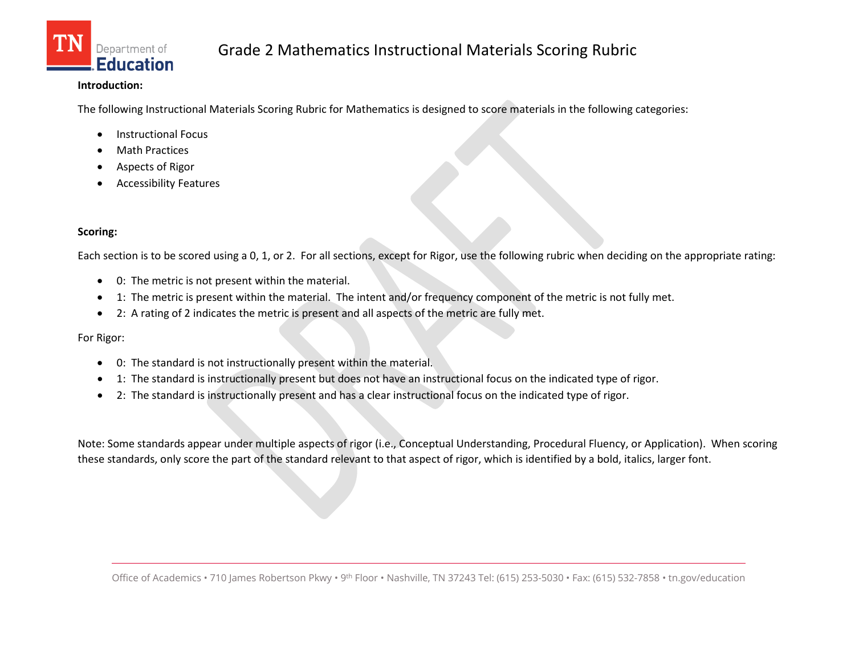

## **Introduction:**

The following Instructional Materials Scoring Rubric for Mathematics is designed to score materials in the following categories:

- Instructional Focus
- **Math Practices**
- Aspects of Rigor
- Accessibility Features

## **Scoring:**

Each section is to be scored using a 0, 1, or 2. For all sections, except for Rigor, use the following rubric when deciding on the appropriate rating:

- 0: The metric is not present within the material.
- 1: The metric is present within the material. The intent and/or frequency component of the metric is not fully met.
- 2: A rating of 2 indicates the metric is present and all aspects of the metric are fully met.

For Rigor:

- 0: The standard is not instructionally present within the material.
- 1: The standard is instructionally present but does not have an instructional focus on the indicated type of rigor.
- 2: The standard is instructionally present and has a clear instructional focus on the indicated type of rigor.

Note: Some standards appear under multiple aspects of rigor (i.e., Conceptual Understanding, Procedural Fluency, or Application). When scoring these standards, only score the part of the standard relevant to that aspect of rigor, which is identified by a bold, italics, larger font.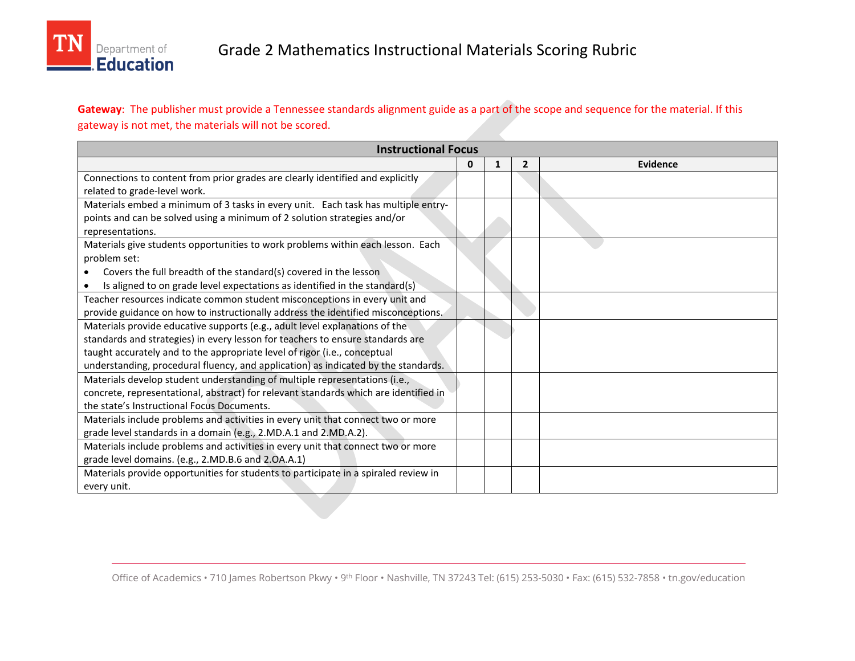

**Gateway**: The publisher must provide a Tennessee standards alignment guide as a part of the scope and sequence for the material. If this gateway is not met, the materials will not be scored.

| <b>Instructional Focus</b>                                                           |   |   |                |          |  |
|--------------------------------------------------------------------------------------|---|---|----------------|----------|--|
|                                                                                      | 0 | 1 | $\overline{2}$ | Evidence |  |
| Connections to content from prior grades are clearly identified and explicitly       |   |   |                |          |  |
| related to grade-level work.                                                         |   |   |                |          |  |
| Materials embed a minimum of 3 tasks in every unit. Each task has multiple entry-    |   |   |                |          |  |
| points and can be solved using a minimum of 2 solution strategies and/or             |   |   |                |          |  |
| representations.                                                                     |   |   |                |          |  |
| Materials give students opportunities to work problems within each lesson. Each      |   |   |                |          |  |
| problem set:                                                                         |   |   |                |          |  |
| Covers the full breadth of the standard(s) covered in the lesson                     |   |   |                |          |  |
| Is aligned to on grade level expectations as identified in the standard(s)           |   |   |                |          |  |
| Teacher resources indicate common student misconceptions in every unit and           |   |   |                |          |  |
| provide guidance on how to instructionally address the identified misconceptions.    |   |   |                |          |  |
| Materials provide educative supports (e.g., adult level explanations of the          |   |   |                |          |  |
| standards and strategies) in every lesson for teachers to ensure standards are       |   |   |                |          |  |
| taught accurately and to the appropriate level of rigor (i.e., conceptual            |   |   |                |          |  |
| understanding, procedural fluency, and application) as indicated by the standards.   |   |   |                |          |  |
| Materials develop student understanding of multiple representations (i.e.,           |   |   |                |          |  |
| concrete, representational, abstract) for relevant standards which are identified in |   |   |                |          |  |
| the state's Instructional Focus Documents.                                           |   |   |                |          |  |
| Materials include problems and activities in every unit that connect two or more     |   |   |                |          |  |
| grade level standards in a domain (e.g., 2.MD.A.1 and 2.MD.A.2).                     |   |   |                |          |  |
| Materials include problems and activities in every unit that connect two or more     |   |   |                |          |  |
| grade level domains. (e.g., 2.MD.B.6 and 2.OA.A.1)                                   |   |   |                |          |  |
| Materials provide opportunities for students to participate in a spiraled review in  |   |   |                |          |  |
| every unit.                                                                          |   |   |                |          |  |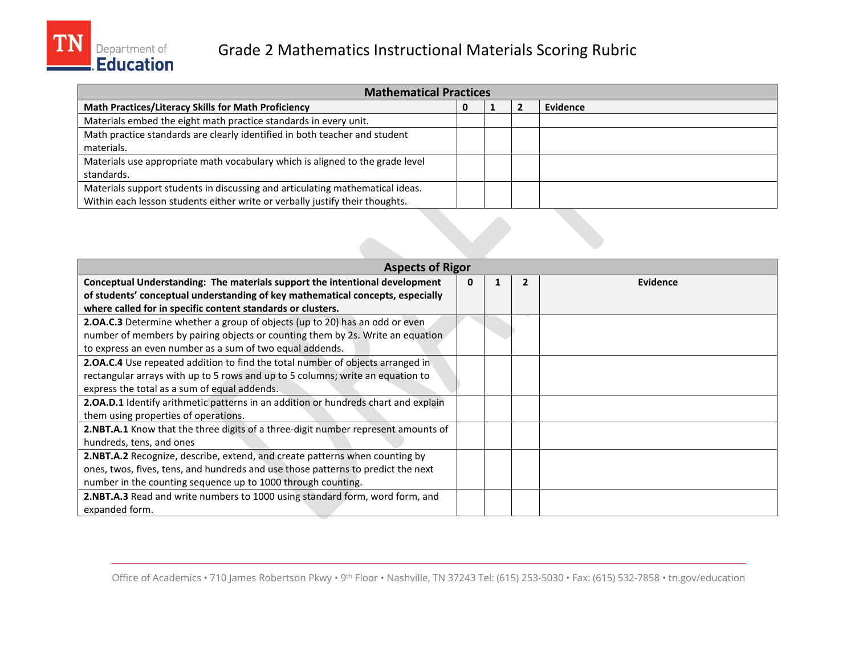

| <b>Mathematical Practices</b>                                                 |  |  |  |          |  |
|-------------------------------------------------------------------------------|--|--|--|----------|--|
| <b>Math Practices/Literacy Skills for Math Proficiency</b>                    |  |  |  | Evidence |  |
| Materials embed the eight math practice standards in every unit.              |  |  |  |          |  |
| Math practice standards are clearly identified in both teacher and student    |  |  |  |          |  |
| materials.                                                                    |  |  |  |          |  |
| Materials use appropriate math vocabulary which is aligned to the grade level |  |  |  |          |  |
| standards.                                                                    |  |  |  |          |  |
| Materials support students in discussing and articulating mathematical ideas. |  |  |  |          |  |
| Within each lesson students either write or verbally justify their thoughts.  |  |  |  |          |  |

| <b>Aspects of Rigor</b>                                                            |   |  |  |          |  |
|------------------------------------------------------------------------------------|---|--|--|----------|--|
| Conceptual Understanding: The materials support the intentional development        | 0 |  |  | Evidence |  |
| of students' conceptual understanding of key mathematical concepts, especially     |   |  |  |          |  |
| where called for in specific content standards or clusters.                        |   |  |  |          |  |
| 2.OA.C.3 Determine whether a group of objects (up to 20) has an odd or even        |   |  |  |          |  |
| number of members by pairing objects or counting them by 2s. Write an equation     |   |  |  |          |  |
| to express an even number as a sum of two equal addends.                           |   |  |  |          |  |
| 2.0A.C.4 Use repeated addition to find the total number of objects arranged in     |   |  |  |          |  |
| rectangular arrays with up to 5 rows and up to 5 columns; write an equation to     |   |  |  |          |  |
| express the total as a sum of equal addends.                                       |   |  |  |          |  |
| 2.0A.D.1 Identify arithmetic patterns in an addition or hundreds chart and explain |   |  |  |          |  |
| them using properties of operations.                                               |   |  |  |          |  |
| 2.NBT.A.1 Know that the three digits of a three-digit number represent amounts of  |   |  |  |          |  |
| hundreds, tens, and ones                                                           |   |  |  |          |  |
| <b>2.NBT.A.2</b> Recognize, describe, extend, and create patterns when counting by |   |  |  |          |  |
| ones, twos, fives, tens, and hundreds and use those patterns to predict the next   |   |  |  |          |  |
| number in the counting sequence up to 1000 through counting.                       |   |  |  |          |  |
| 2.NBT.A.3 Read and write numbers to 1000 using standard form, word form, and       |   |  |  |          |  |
| expanded form.                                                                     |   |  |  |          |  |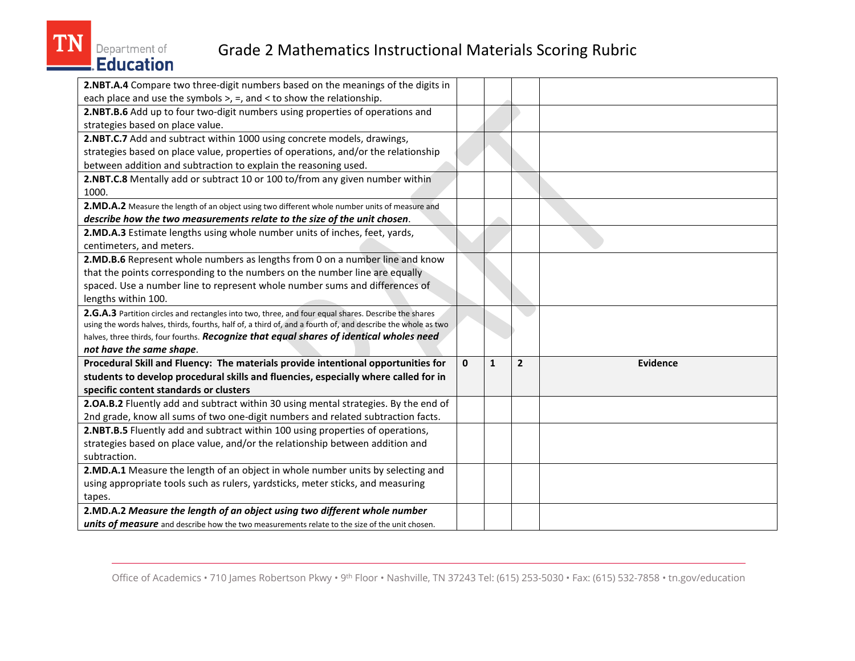

## Grade 2 Mathematics Instructional Materials Scoring Rubric

| $\mathbf{0}$ | $\mathbf{1}$ | $\overline{2}$ | <b>Evidence</b> |
|--------------|--------------|----------------|-----------------|
|              |              |                |                 |
|              |              |                |                 |
|              |              |                |                 |
|              |              |                |                 |
|              |              |                |                 |
|              |              |                |                 |
|              |              |                |                 |
|              |              |                |                 |
|              |              |                |                 |
|              |              |                |                 |
|              |              |                |                 |
|              |              |                |                 |
|              |              |                |                 |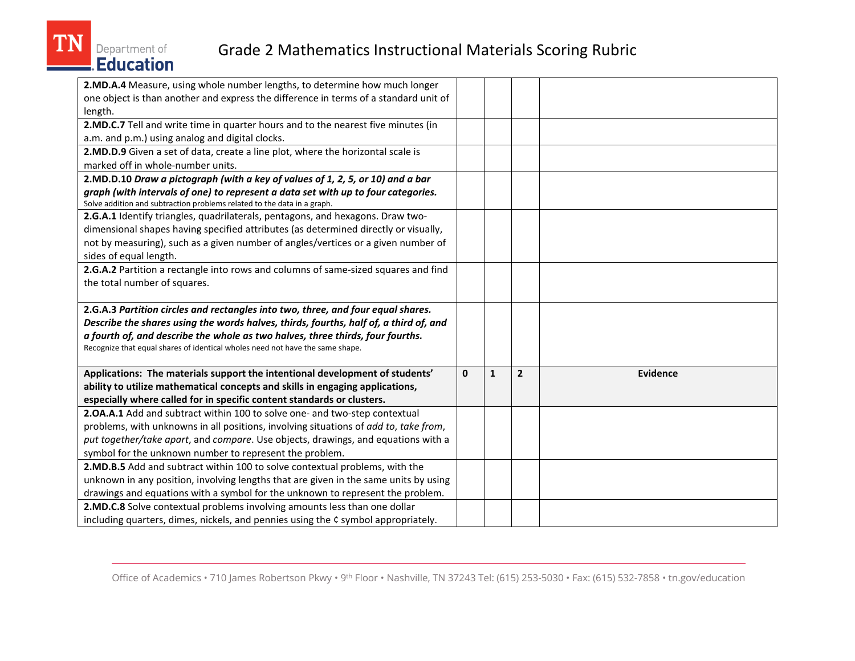

## Grade 2 Mathematics Instructional Materials Scoring Rubric

| 2.MD.A.4 Measure, using whole number lengths, to determine how much longer            |              |              |                |                 |
|---------------------------------------------------------------------------------------|--------------|--------------|----------------|-----------------|
| one object is than another and express the difference in terms of a standard unit of  |              |              |                |                 |
| length.                                                                               |              |              |                |                 |
| 2.MD.C.7 Tell and write time in quarter hours and to the nearest five minutes (in     |              |              |                |                 |
| a.m. and p.m.) using analog and digital clocks.                                       |              |              |                |                 |
| 2.MD.D.9 Given a set of data, create a line plot, where the horizontal scale is       |              |              |                |                 |
| marked off in whole-number units.                                                     |              |              |                |                 |
| 2.MD.D.10 Draw a pictograph (with a key of values of 1, 2, 5, or 10) and a bar        |              |              |                |                 |
| graph (with intervals of one) to represent a data set with up to four categories.     |              |              |                |                 |
| Solve addition and subtraction problems related to the data in a graph.               |              |              |                |                 |
| 2.G.A.1 Identify triangles, quadrilaterals, pentagons, and hexagons. Draw two-        |              |              |                |                 |
| dimensional shapes having specified attributes (as determined directly or visually,   |              |              |                |                 |
| not by measuring), such as a given number of angles/vertices or a given number of     |              |              |                |                 |
| sides of equal length.                                                                |              |              |                |                 |
| 2.G.A.2 Partition a rectangle into rows and columns of same-sized squares and find    |              |              |                |                 |
| the total number of squares.                                                          |              |              |                |                 |
|                                                                                       |              |              |                |                 |
| 2.G.A.3 Partition circles and rectangles into two, three, and four equal shares.      |              |              |                |                 |
| Describe the shares using the words halves, thirds, fourths, half of, a third of, and |              |              |                |                 |
| a fourth of, and describe the whole as two halves, three thirds, four fourths.        |              |              |                |                 |
| Recognize that equal shares of identical wholes need not have the same shape.         |              |              |                |                 |
|                                                                                       |              |              |                |                 |
| Applications: The materials support the intentional development of students'          | $\mathbf{0}$ | $\mathbf{1}$ | $\overline{2}$ | <b>Evidence</b> |
| ability to utilize mathematical concepts and skills in engaging applications,         |              |              |                |                 |
| especially where called for in specific content standards or clusters.                |              |              |                |                 |
| <b>2.OA.A.1</b> Add and subtract within 100 to solve one- and two-step contextual     |              |              |                |                 |
| problems, with unknowns in all positions, involving situations of add to, take from,  |              |              |                |                 |
| put together/take apart, and compare. Use objects, drawings, and equations with a     |              |              |                |                 |
| symbol for the unknown number to represent the problem.                               |              |              |                |                 |
| 2.MD.B.5 Add and subtract within 100 to solve contextual problems, with the           |              |              |                |                 |
| unknown in any position, involving lengths that are given in the same units by using  |              |              |                |                 |
| drawings and equations with a symbol for the unknown to represent the problem.        |              |              |                |                 |
|                                                                                       |              |              |                |                 |
| 2.MD.C.8 Solve contextual problems involving amounts less than one dollar             |              |              |                |                 |